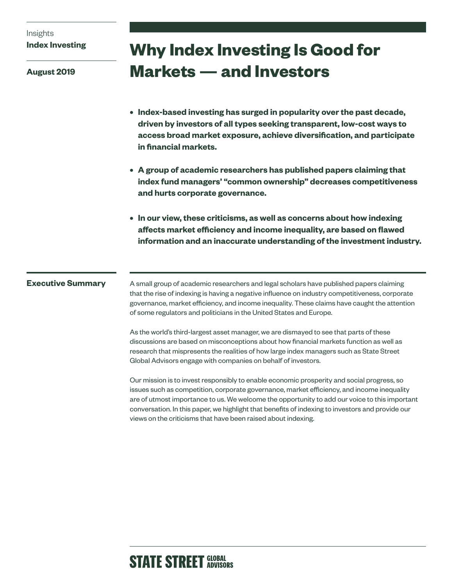# Insights **Index Investing**

**August 2019**

# **Why Index Investing Is Good for Markets — and Investors**

- **• Index-based investing has surged in popularity over the past decade, driven by investors of all types seeking transparent, low-cost ways to access broad market exposure, achieve diversification, and participate in financial markets.**
- **• A group of academic researchers has published papers claiming that index fund managers' "common ownership" decreases competitiveness and hurts corporate governance.**
- **• In our view, these criticisms, as well as concerns about how indexing affects market efficiency and income inequality, are based on flawed information and an inaccurate understanding of the investment industry.**

## **Executive Summary**

A small group of academic researchers and legal scholars have published papers claiming that the rise of indexing is having a negative influence on industry competitiveness, corporate governance, market efficiency, and income inequality. These claims have caught the attention of some regulators and politicians in the United States and Europe.

As the world's third-largest asset manager, we are dismayed to see that parts of these discussions are based on misconceptions about how financial markets function as well as research that mispresents the realities of how large index managers such as State Street Global Advisors engage with companies on behalf of investors.

Our mission is to invest responsibly to enable economic prosperity and social progress, so issues such as competition, corporate governance, market efficiency, and income inequality are of utmost importance to us. We welcome the opportunity to add our voice to this important conversation. In this paper, we highlight that benefits of indexing to investors and provide our views on the criticisms that have been raised about indexing.

# **STATE STREET GLOBAL**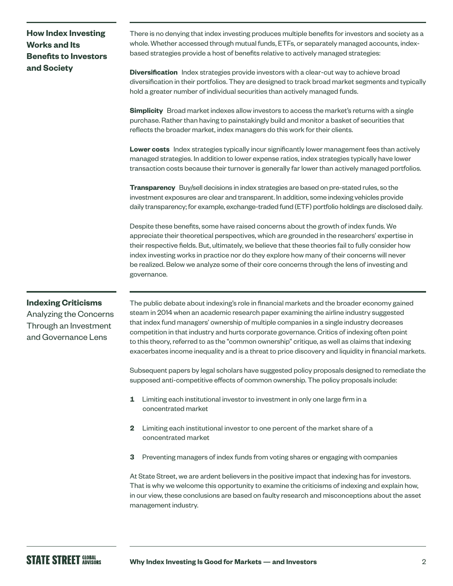# **How Index Investing Works and Its Benefits to Investors and Society**

There is no denying that index investing produces multiple benefits for investors and society as a whole. Whether accessed through mutual funds, ETFs, or separately managed accounts, indexbased strategies provide a host of benefits relative to actively managed strategies:

**Diversification** Index strategies provide investors with a clear-cut way to achieve broad diversification in their portfolios. They are designed to track broad market segments and typically hold a greater number of individual securities than actively managed funds.

**Simplicity** Broad market indexes allow investors to access the market's returns with a single purchase. Rather than having to painstakingly build and monitor a basket of securities that reflects the broader market, index managers do this work for their clients.

**Lower costs** Index strategies typically incur significantly lower management fees than actively managed strategies. In addition to lower expense ratios, index strategies typically have lower transaction costs because their turnover is generally far lower than actively managed portfolios.

**Transparency** Buy/sell decisions in index strategies are based on pre-stated rules, so the investment exposures are clear and transparent. In addition, some indexing vehicles provide daily transparency; for example, exchange-traded fund (ETF) portfolio holdings are disclosed daily.

Despite these benefits, some have raised concerns about the growth of index funds. We appreciate their theoretical perspectives, which are grounded in the researchers' expertise in their respective fields. But, ultimately, we believe that these theories fail to fully consider how index investing works in practice nor do they explore how many of their concerns will never be realized. Below we analyze some of their core concerns through the lens of investing and governance.

### **Indexing Criticisms**

Analyzing the Concerns Through an Investment and Governance Lens

The public debate about indexing's role in financial markets and the broader economy gained steam in 2014 when an academic research paper examining the airline industry suggested that index fund managers' ownership of multiple companies in a single industry decreases competition in that industry and hurts corporate governance. Critics of indexing often point to this theory, referred to as the "common ownership" critique, as well as claims that indexing exacerbates income inequality and is a threat to price discovery and liquidity in financial markets.

Subsequent papers by legal scholars have suggested policy proposals designed to remediate the supposed anti-competitive effects of common ownership. The policy proposals include:

- **1** Limiting each institutional investor to investment in only one large firm in a concentrated market
- **2** Limiting each institutional investor to one percent of the market share of a concentrated market
- **3** Preventing managers of index funds from voting shares or engaging with companies

At State Street, we are ardent believers in the positive impact that indexing has for investors. That is why we welcome this opportunity to examine the criticisms of indexing and explain how, in our view, these conclusions are based on faulty research and misconceptions about the asset management industry.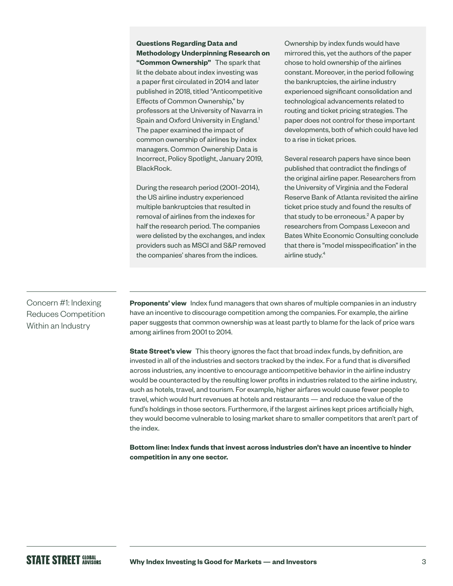**Questions Regarding Data and Methodology Underpinning Research on "Common Ownership"** The spark that lit the debate about index investing was a paper first circulated in 2014 and later published in 2018, titled "Anticompetitive Effects of Common Ownership," by professors at the University of Navarra in Spain and Oxford University in England.<sup>1</sup> The paper examined the impact of common ownership of airlines by index managers. Common Ownership Data is Incorrect, Policy Spotlight, January 2019, BlackRock.

During the research period (2001–2014), the US airline industry experienced multiple bankruptcies that resulted in removal of airlines from the indexes for half the research period. The companies were delisted by the exchanges, and index providers such as MSCI and S&P removed the companies' shares from the indices.

Ownership by index funds would have mirrored this, yet the authors of the paper chose to hold ownership of the airlines constant. Moreover, in the period following the bankruptcies, the airline industry experienced significant consolidation and technological advancements related to routing and ticket pricing strategies. The paper does not control for these important developments, both of which could have led to a rise in ticket prices.

Several research papers have since been published that contradict the findings of the original airline paper. Researchers from the University of Virginia and the Federal Reserve Bank of Atlanta revisited the airline ticket price study and found the results of that study to be erroneous.<sup>2</sup> A paper by researchers from Compass Lexecon and Bates White Economic Consulting conclude that there is "model misspecification" in the airline study.<sup>4</sup>

# Concern #1: Indexing Reduces Competition Within an Industry

**Proponents' view** Index fund managers that own shares of multiple companies in an industry have an incentive to discourage competition among the companies. For example, the airline paper suggests that common ownership was at least partly to blame for the lack of price wars among airlines from 2001 to 2014.

**State Street's view** This theory ignores the fact that broad index funds, by definition, are invested in all of the industries and sectors tracked by the index. For a fund that is diversified across industries, any incentive to encourage anticompetitive behavior in the airline industry would be counteracted by the resulting lower profits in industries related to the airline industry, such as hotels, travel, and tourism. For example, higher airfares would cause fewer people to travel, which would hurt revenues at hotels and restaurants — and reduce the value of the fund's holdings in those sectors. Furthermore, if the largest airlines kept prices artificially high, they would become vulnerable to losing market share to smaller competitors that aren't part of the index.

**Bottom line: Index funds that invest across industries don't have an incentive to hinder competition in any one sector.**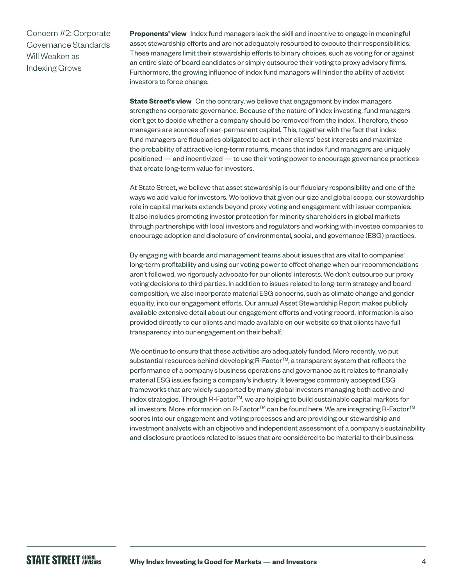Concern #2: Corporate Governance Standards Will Weaken as Indexing Grows

**Proponents' view** Index fund managers lack the skill and incentive to engage in meaningful asset stewardship efforts and are not adequately resourced to execute their responsibilities. These managers limit their stewardship efforts to binary choices, such as voting for or against an entire slate of board candidates or simply outsource their voting to proxy advisory firms. Furthermore, the growing influence of index fund managers will hinder the ability of activist investors to force change.

**State Street's view** On the contrary, we believe that engagement by index managers strengthens corporate governance. Because of the nature of index investing, fund managers don't get to decide whether a company should be removed from the index. Therefore, these managers are sources of near-permanent capital. This, together with the fact that index fund managers are fiduciaries obligated to act in their clients' best interests and maximize the probability of attractive long-term returns, means that index fund managers are uniquely positioned — and incentivized — to use their voting power to encourage governance practices that create long-term value for investors.

At State Street, we believe that asset stewardship is our fiduciary responsibility and one of the ways we add value for investors. We believe that given our size and global scope, our stewardship role in capital markets extends beyond proxy voting and engagement with issuer companies. It also includes promoting investor protection for minority shareholders in global markets through partnerships with local investors and regulators and working with investee companies to encourage adoption and disclosure of environmental, social, and governance (ESG) practices.

By engaging with boards and management teams about issues that are vital to companies' long-term profitability and using our voting power to effect change when our recommendations aren't followed, we rigorously advocate for our clients' interests. We don't outsource our proxy voting decisions to third parties. In addition to issues related to long-term strategy and board composition, we also incorporate material ESG concerns, such as climate change and gender equality, into our engagement efforts. Our annual Asset Stewardship Report makes publicly available extensive detail about our engagement efforts and voting record. Information is also provided directly to our clients and made available on our website so that clients have full transparency into our engagement on their behalf.

We continue to ensure that these activities are adequately funded. More recently, we put substantial resources behind developing R-Factor™, a transparent system that reflects the performance of a company's business operations and governance as it relates to financially material ESG issues facing a company's industry. It leverages commonly accepted ESG frameworks that are widely supported by many global investors managing both active and index strategies. Through R-Factor™, we are helping to build sustainable capital markets for all investors. More information on R-Factor™ can be found [here.](https://www.ssga.com/investment-topics/environmental-social-governance/2019/04/inst-r-factor-reinventing-esg-through-scoring-system.pdf) We are integrating R-Factor™ scores into our engagement and voting processes and are providing our stewardship and investment analysts with an objective and independent assessment of a company's sustainability and disclosure practices related to issues that are considered to be material to their business.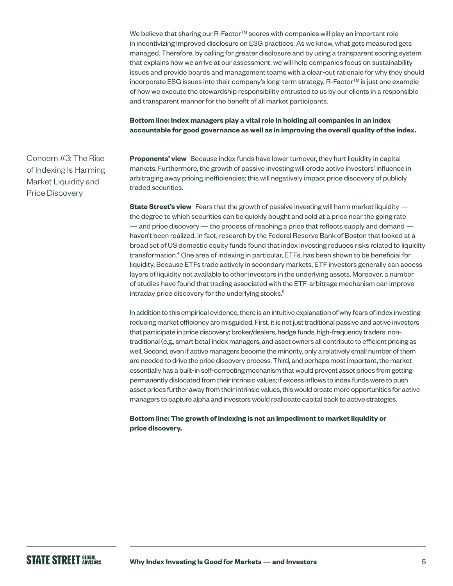We believe that sharing our R-Factor<sup>TM</sup> scores with companies will play an important role in incentivizing improved disclosure on ESG practices. As we know, what gets measured gets managed. Therefore, by calling for greater disclosure and by using a transparent scoring system that explains how we arrive at our assessment, we will help companies focus on sustainability issues and provide boards and management teams with a clear-cut rationale for why they should incorporate ESG issues into their company's long-term strategy. R-Factor™ is just one example of how we execute the stewardship responsibility entrusted to us by our clients in a responsible and transparent manner for the benefit of all market participants.

**Bottom line: Index managers play a vital role in holding all companies in an index accountable for good governance as well as in improving the overall quality of the index.**

Concern #3: The Rise of Indexing Is Harming Market Liquidity and Price Discovery

**Proponents' view** Because index funds have lower turnover, they hurt liquidity in capital markets. Furthermore, the growth of passive investing will erode active investors' influence in arbitraging away pricing inefficiencies; this will negatively impact price discovery of publicly traded securities.

**State Street's view** Fears that the growth of passive investing will harm market liquidity the degree to which securities can be quickly bought and sold at a price near the going rate — and price discovery — the process of reaching a price that reflects supply and demand haven't been realized. In fact, research by the Federal Reserve Bank of Boston that looked at a broad set of US domestic equity funds found that index investing reduces risks related to liquidity transformation.<sup>4</sup> One area of indexing in particular, ETFs, has been shown to be beneficial for liquidity. Because ETFs trade actively in secondary markets, ETF investors generally can access layers of liquidity not available to other investors in the underlying assets. Moreover, a number of studies have found that trading associated with the ETF-arbitrage mechanism can improve intraday price discovery for the underlying stocks.<sup>5</sup>

In addition to this empirical evidence, there is an intuitive explanation of why fears of index investing reducing market efficiency are misguided. First, it is not just traditional passive and active investors that participate in price discovery; broker/dealers, hedge funds, high-frequency traders, nontraditional (e.g., smart beta) index managers, and asset owners all contribute to efficient pricing as well. Second, even if active managers become the minority, only a relatively small number of them are needed to drive the price discovery process. Third, and perhaps most important, the market essentially has a built-in self-correcting mechanism that would prevent asset prices from getting permanently dislocated from their intrinsic values; if excess inflows to index funds were to push asset prices further away from their intrinsic values, this would create more opportunities for active managers to capture alpha and investors would reallocate capital back to active strategies.

#### **Bottom line: The growth of indexing is not an impediment to market liquidity or price discovery.**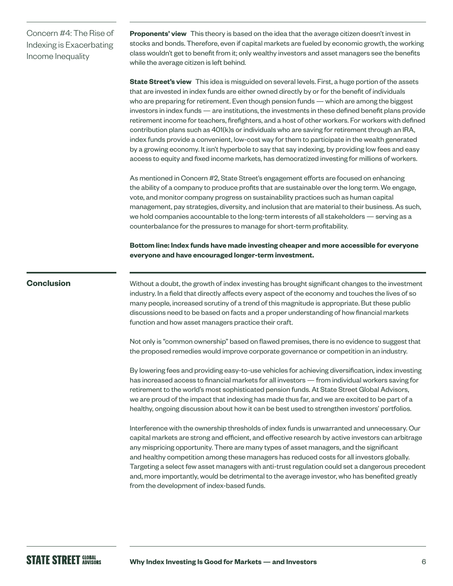Concern #4: The Rise of Indexing is Exacerbating Income Inequality

**Proponents' view** This theory is based on the idea that the average citizen doesn't invest in stocks and bonds. Therefore, even if capital markets are fueled by economic growth, the working class wouldn't get to benefit from it; only wealthy investors and asset managers see the benefits while the average citizen is left behind.

**State Street's view** This idea is misguided on several levels. First, a huge portion of the assets that are invested in index funds are either owned directly by or for the benefit of individuals who are preparing for retirement. Even though pension funds — which are among the biggest investors in index funds — are institutions, the investments in these defined benefit plans provide retirement income for teachers, firefighters, and a host of other workers. For workers with defined contribution plans such as 401(k)s or individuals who are saving for retirement through an IRA, index funds provide a convenient, low-cost way for them to participate in the wealth generated by a growing economy. It isn't hyperbole to say that say indexing, by providing low fees and easy access to equity and fixed income markets, has democratized investing for millions of workers.

As mentioned in Concern #2, State Street's engagement efforts are focused on enhancing the ability of a company to produce profits that are sustainable over the long term. We engage, vote, and monitor company progress on sustainability practices such as human capital management, pay strategies, diversity, and inclusion that are material to their business. As such, we hold companies accountable to the long-term interests of all stakeholders — serving as a counterbalance for the pressures to manage for short-term profitability.

**Bottom line: Index funds have made investing cheaper and more accessible for everyone everyone and have encouraged longer-term investment.**

#### **Conclusion**

Without a doubt, the growth of index investing has brought significant changes to the investment industry. In a field that directly affects every aspect of the economy and touches the lives of so many people, increased scrutiny of a trend of this magnitude is appropriate. But these public discussions need to be based on facts and a proper understanding of how financial markets function and how asset managers practice their craft.

Not only is "common ownership" based on flawed premises, there is no evidence to suggest that the proposed remedies would improve corporate governance or competition in an industry.

By lowering fees and providing easy-to-use vehicles for achieving diversification, index investing has increased access to financial markets for all investors — from individual workers saving for retirement to the world's most sophisticated pension funds. At State Street Global Advisors, we are proud of the impact that indexing has made thus far, and we are excited to be part of a healthy, ongoing discussion about how it can be best used to strengthen investors' portfolios.

Interference with the ownership thresholds of index funds is unwarranted and unnecessary. Our capital markets are strong and efficient, and effective research by active investors can arbitrage any mispricing opportunity. There are many types of asset managers, and the significant and healthy competition among these managers has reduced costs for all investors globally. Targeting a select few asset managers with anti-trust regulation could set a dangerous precedent and, more importantly, would be detrimental to the average investor, who has benefited greatly from the development of index-based funds.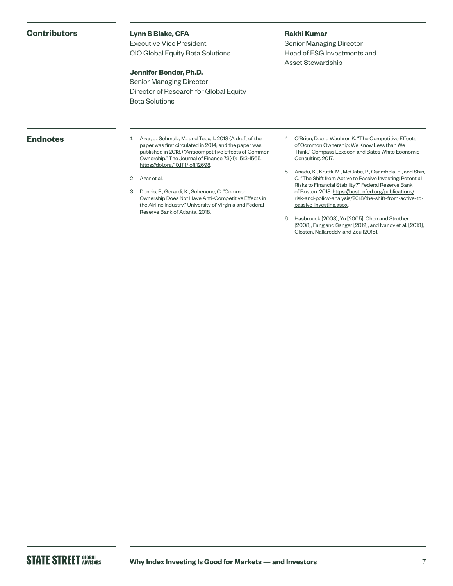#### **Contributors**

#### **Lynn S Blake, CFA**

Executive Vice President CIO Global Equity Beta Solutions

#### **Jennifer Bender, Ph.D.**

Senior Managing Director Director of Research for Global Equity Beta Solutions

#### **Rakhi Kumar**

Senior Managing Director Head of ESG Investments and Asset Stewardship

**Endnotes** 1 Azar, J., Schmalz, M., and Tecu, I.. 2018 (A draft of the paper was first circulated in 2014, and the paper was published in 2018.) "Anticompetitive Effects of Common Ownership." The Journal of Finance 73(4): 1513-1565. [https://doi.org/10.1111/jofi.12698.](https://doi.org/10.1111/jofi.12698)

2 Azar et al.

- 3 Dennis, P., Gerardi, K., Schenone, C. "Common Ownership Does Not Have Anti-Competitive Effects in the Airline Industry." University of Virginia and Federal Reserve Bank of Atlanta. 2018.
- 4 O'Brien, D. and Waehrer, K. "The Competitive Effects of Common Ownership: We Know Less than We Think." Compass Lexecon and Bates White Economic Consulting. 2017.
- 5 Anadu, K., Kruttli, M., McCabe, P., Osambela, E., and Shin, C. "The Shift from Active to Passive Investing: Potential Risks to Financial Stability?" Federal Reserve Bank of Boston. 2018. [https://bostonfed.org/publications/](https://bostonfed.org/publications/risk-and-policy-analysis/2018/the-shift-from-active-to-passive-investing.aspx) [risk-and-policy-analysis/2018/the-shift-from-active-to](https://bostonfed.org/publications/risk-and-policy-analysis/2018/the-shift-from-active-to-passive-investing.aspx)[passive-investing.aspx](https://bostonfed.org/publications/risk-and-policy-analysis/2018/the-shift-from-active-to-passive-investing.aspx).
- 6 Hasbrouck [2003], Yu [2005], Chen and Strother [2008], Fang and Sanger [2012], and Ivanov et al. [2013], Glosten, Nallareddy, and Zou [2015].